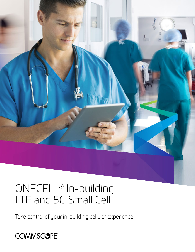

# ONECELL® In-building LTE and 5G Small Cell

Take control of your in-building cellular experience

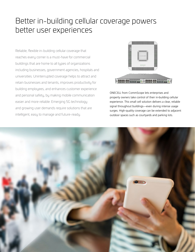## Better in-building cellular coverage powers better user experiences

Reliable, flexible in-building cellular coverage that reaches every corner is a must-have for commercial buildings that are home to all types of organizations including businesses, government agencies, hospitals and universities. Uninterrupted coverage helps to attract and retain businesses and tenants, improves productivity for building employees, and enhances customer experience and personal safety, by making mobile communication easier and more reliable. Emerging 5G technology and growing user demands require solutions that are intelligent, easy to manage and future-ready.



ONECELL from CommScope lets enterprises and property owners take control of their in-building cellular experience. This small cell solution delivers a clear, reliable signal throughout buildings—even during intense usage surges. High-quality coverage can be extended to adjacent outdoor spaces such as courtyards and parking lots.

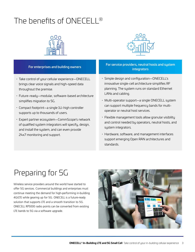# The benefits of ONFCFLL®



- · Take control of your cellular experience—ONECELL brings clear voice signals and high-speed data throughout the premise.
- · Future-ready—modular, software-based architecture simplifies migration to 5G.
- · Compact footprint—a single 1U-high controller supports up to thousands of users.
- · Expert partner ecosystem—CommScope's network of qualified system integrators will specify, design, and install the system, and can even provide 24x7 monitoring and support.



### For enterprises and building owners For service providers, neutral hosts and system **integrators**

- · Simple design and configuration—ONECELL's innovative single-cell architecture simplifies RF planning. The system runs on standard Ethernet LANs and cabling.
- · Multi-operator support—a single ONECELL system can support multiple frequency bands for multioperator or neutral host services.
- · Flexible management tools allow granular visibility and control needed by operators, neutral hosts, and system integrators.
- · Hardware, software, and management interfaces support emerging Open RAN architectures and standards.

## Preparing for 5G

Wireless service providers around the world have started to offer 5G services. Commercial buildings and enterprises must continue meeting the demand for high-performing in-building 4G/LTE while gearing up for 5G. ONECELL is a future-ready solution that supports LTE and a smooth transition to 5G. ONECELL RP5000 radio points can be converted from existing LTE bands to 5G via a software upgrade.

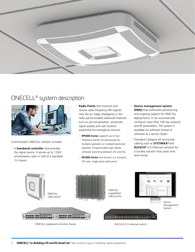

## ONECELL® system description



CommScope's ONECELL solution includes:

- · <sup>A</sup>**baseband controller** that provides the signal source. It serves up to 1,024 simultaneous users in half of a standard 1U chassis
- · **Radio Points** that transmit and receive radio-frequency (RF) signals over the air. Edge intelligence in the radio points enables advanced features such as cell virtualization, enhanced signal quality and user location awareness for emergency services.
	- **RP5000 Series** supports up to four frequency bands simultaneously for multiple operators or multiple bands per operator. Programmable logic allows software switching between LTE and 5G.
	- **RP2000 Series** (not shown) is a compact, LTE only, single band radio point.
- · **Device management system (DMS)** that automates provisioning and ongoing support for ONECELL deployments. It can automatically configure more than 100 key network and RF parameters. The system is available via software license or software as a service (SaaS).
- · Standard Category 6A structured cabling such as **SYSTIMAX®** and **RUCKUS®** ICX Ethernet switches for a turnkey solution that saves time and money

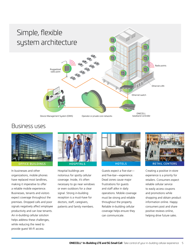

## Business uses



In businesses and other organizations, mobile phones have replaced most landlines, making it imperative to offer a reliable mobile experience. Businesses, tenants and visitors expect coverage throughout the premises. Dropped calls and poor signals negatively affect employee productivity and can lose tenants. An in-building cellular solution helps address these challenges, while reducing the need to provide guest Wi-Fi access.



Hospital buildings are notorious for spotty cellular coverage. Inside, it's often necessary to go near windows or even outdoors for a clear signal. Strong in-building reception is a must-have for doctors, staff, caregivers, patients and family members.



Guests expect a five-star and five-bar—experience. Dead zones cause major frustrations for guests and staff alike in daily operations. Mobile coverage must be strong and reliable throughout the property. Reliable in-building cellular coverage helps ensure they can communicate.



Creating a positive in-store experience is a priority for retailers. Consumers expect reliable cellular service to easily access coupons and promotions while shopping and obtain product information online. Happy consumers post and share positive reviews online, helping drive future sales.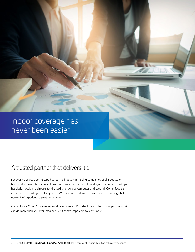# Indoor coverage has never been easier

## A trusted partner that delivers it all

For over 40 years, CommScope has led the industry in helping companies of all sizes scale, build and sustain robust connections that power more efficient buildings. From office buildings, hospitals, hotels and airports to NFL stadiums, college campuses and beyond, CommScope is a leader in in-building cellular systems. We have tremendous in-house expertise and a global network of experienced solution providers.

Contact your CommScope representative or Solution Provider today to learn how your network can do more than you ever imagined. Visit commscope.com to learn more.